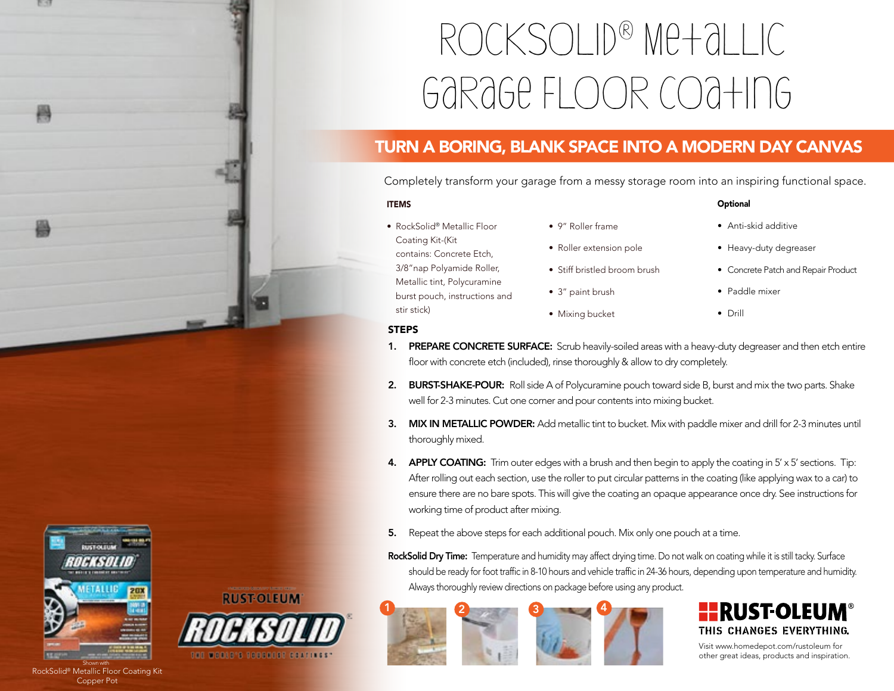# RockSolid® Metallic Garage Floor Coating

## TURN A BORING, BLANK SPACE INTO A MODERN DAY CANVAS

Completely transform your garage from a messy storage room into an inspiring functional space.

#### ITEMS

- RockSolid® Metallic Floor Coating Kit-(Kit contains: Concrete Etch, 3/8"nap Polyamide Roller, Metallic tint, Polycuramine burst pouch, instructions and stir stick)
- 9" Roller frame
- Roller extension pole
- Stiff bristled broom brush
- 3" paint brush
- Mixing bucket

• Anti-skid additive

**Optional** 

- Heavy-duty degreaser
- Concrete Patch and Repair Product
- Paddle mixer
- Drill

#### **STEPS**

- 1. PREPARE CONCRETE SURFACE: Scrub heavily-soiled areas with a heavy-duty degreaser and then etch entire floor with concrete etch (included), rinse thoroughly & allow to dry completely.
- 2. BURST-SHAKE-POUR: Roll side A of Polycuramine pouch toward side B, burst and mix the two parts. Shake well for 2-3 minutes. Cut one corner and pour contents into mixing bucket.
- 3. MIX IN METALLIC POWDER: Add metallic tint to bucket. Mix with paddle mixer and drill for 2-3 minutes until thoroughly mixed.
- 4. APPLY COATING: Trim outer edges with a brush and then begin to apply the coating in 5' x 5' sections. Tip: After rolling out each section, use the roller to put circular patterns in the coating (like applying wax to a car) to ensure there are no bare spots. This will give the coating an opaque appearance once dry. See instructions for working time of product after mixing.
- 5. Repeat the above steps for each additional pouch. Mix only one pouch at a time.
- RockSolid Dry Time: Temperature and humidity may affect drying time. Do not walk on coating while it is still tacky. Surface should be ready for foot traffic in 8-10 hours and vehicle traffic in 24-36 hours, depending upon temperature and humidity. Always thoroughly review directions on package before using any product.





Visit www.homedepot.com/rustoleum for



RockSolid<sup>®</sup> Metallic Floor Coating Kit Copper Pot

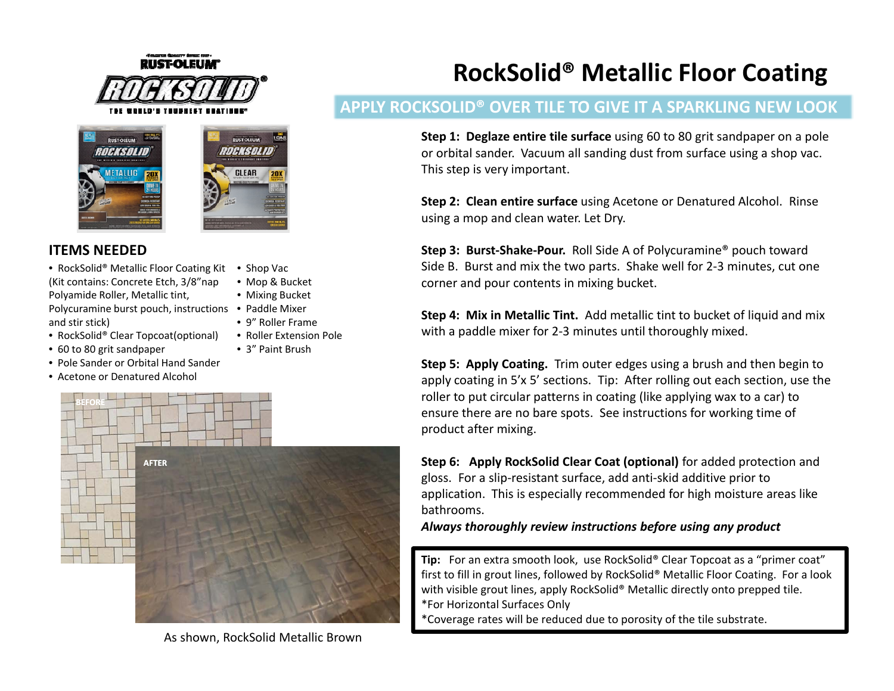





• Shop Vac • Mop & Bucket • Mixing Bucket

• 9" Roller Frame• Roller Extension Pole • 3" Paint Brush

## **ITEMS NEEDED**

• RockSolid® Metallic Floor Coating Kit (Kit contains: Concrete Etch, 3/8"nap Polyamide Roller, Metallic tint,

Polycuramine burst pouch, instructions • Paddle Mixer and stir stick)

- RockSolid® Clear Topcoat(optional)
- 60 to 80 grit sandpaper
- Pole Sander or Orbital Hand Sander
- Acetone or Denatured Alcohol



As shown, RockSolid Metallic Brown

# **RockSolid® Metallic Floor Coating**

# **APPLY ROCKSOLID® OVER TILE TO GIVE IT A SPARKLING NEW LOOK**

**Step 1: Deglaze entire tile surface** using 60 to 80 grit sandpaper on <sup>a</sup> pole or orbital sander. Vacuum all sanding dust from surface using <sup>a</sup> shop vac. This step is very important.

**Step 2: Clean entire surface** using Acetone or Denatured Alcohol. Rinse iusing a mop and clean water. Let Dry.

**Step 3: Burst‐Shake‐Pour.** Roll Side A of Polycuramine® pouch toward Side B. Burst and mix the two parts. Shake well for 2‐3 minutes, cut one corner and pour contents in mixing bucket.

**Step 4: Mix in Metallic Tint.** Add metallic tint to bucket of liquid and mix with <sup>a</sup> paddle mixer for 2‐3 minutes until thoroughly mixed.

**Step 5: Apply Coating.** Trim outer edges using <sup>a</sup> brush and then begin to apply coating in 5'x 5' sections. Tip: After rolling out each section, use the roller to put circular patterns in coating (like applying wax to <sup>a</sup> car) to ensure there are no bare spots. See instructions for working time of product after mixing.

**Step 6: Apply RockSolid Clear Coat (optional)** for added protection and gloss. For a slip-resistant surface, add anti-skid additive prior to application. This is especially recommended for high moisture areas like bathrooms.

*Always thoroughly review instructions before using any product*

**Tip:** For an extra smooth look, use RockSolid® Clear Topcoat as a "primer coat" first to fill in grout lines, followed by RockSolid® Metallic Floor Coating. For <sup>a</sup> look with visible grout lines, apply RockSolid® Metallic directly onto prepped tile. \*For Horizontal Surfaces Only

\*Coverage rates will be reduced due to porosity of the tile substrate.